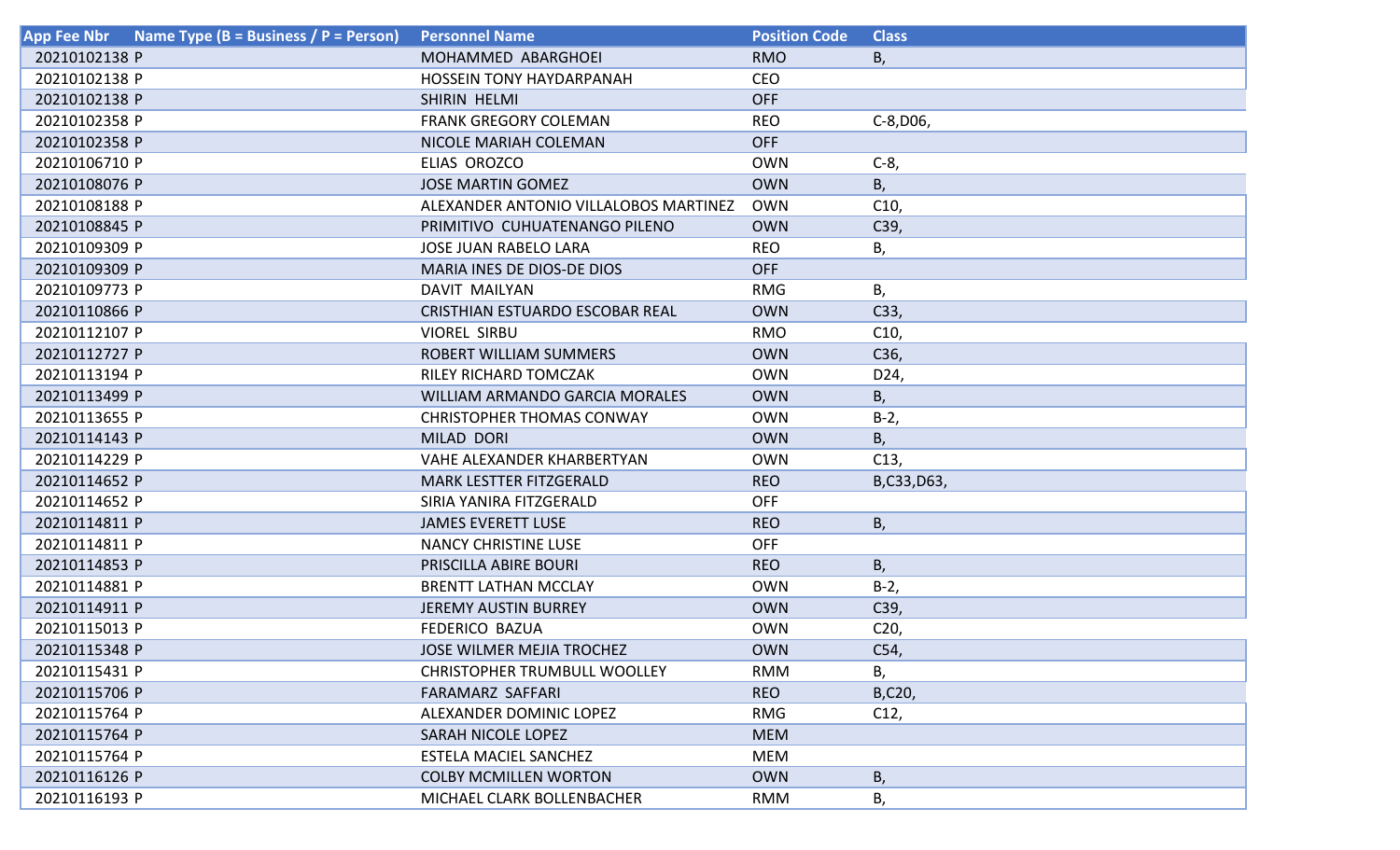| Name Type (B = Business / $\overline{P}$ = Person)<br><b>App Fee Nbr</b> | <b>Personnel Name</b>                 | <b>Position Code</b> | <b>Class</b>    |
|--------------------------------------------------------------------------|---------------------------------------|----------------------|-----------------|
| 20210102138 P                                                            | MOHAMMED ABARGHOEI                    | <b>RMO</b>           | В,              |
| 20210102138 P                                                            | <b>HOSSEIN TONY HAYDARPANAH</b>       | <b>CEO</b>           |                 |
| 20210102138 P                                                            | SHIRIN HELMI                          | <b>OFF</b>           |                 |
| 20210102358 P                                                            | <b>FRANK GREGORY COLEMAN</b>          | <b>REO</b>           | $C-8, D06,$     |
| 20210102358 P                                                            | NICOLE MARIAH COLEMAN                 | <b>OFF</b>           |                 |
| 20210106710 P                                                            | ELIAS OROZCO                          | <b>OWN</b>           | $C-8$ ,         |
| 20210108076 P                                                            | <b>JOSE MARTIN GOMEZ</b>              | <b>OWN</b>           | В,              |
| 20210108188 P                                                            | ALEXANDER ANTONIO VILLALOBOS MARTINEZ | <b>OWN</b>           | C10,            |
| 20210108845 P                                                            | PRIMITIVO CUHUATENANGO PILENO         | <b>OWN</b>           | C39,            |
| 20210109309 P                                                            | <b>JOSE JUAN RABELO LARA</b>          | <b>REO</b>           | В,              |
| 20210109309 P                                                            | MARIA INES DE DIOS-DE DIOS            | <b>OFF</b>           |                 |
| 20210109773 P                                                            | DAVIT MAILYAN                         | <b>RMG</b>           | Β,              |
| 20210110866 P                                                            | CRISTHIAN ESTUARDO ESCOBAR REAL       | <b>OWN</b>           | C33,            |
| 20210112107 P                                                            | <b>VIOREL SIRBU</b>                   | <b>RMO</b>           | C10,            |
| 20210112727 P                                                            | <b>ROBERT WILLIAM SUMMERS</b>         | <b>OWN</b>           | C <sub>36</sub> |
| 20210113194 P                                                            | <b>RILEY RICHARD TOMCZAK</b>          | <b>OWN</b>           | D24,            |
| 20210113499 P                                                            | <b>WILLIAM ARMANDO GARCIA MORALES</b> | <b>OWN</b>           | B,              |
| 20210113655 P                                                            | <b>CHRISTOPHER THOMAS CONWAY</b>      | <b>OWN</b>           | $B-2,$          |
| 20210114143 P                                                            | MILAD DORI                            | <b>OWN</b>           | B,              |
| 20210114229 P                                                            | VAHE ALEXANDER KHARBERTYAN            | <b>OWN</b>           | C13,            |
| 20210114652 P                                                            | <b>MARK LESTTER FITZGERALD</b>        | <b>REO</b>           | B,C33,D63,      |
| 20210114652 P                                                            | SIRIA YANIRA FITZGERALD               | <b>OFF</b>           |                 |
| 20210114811 P                                                            | <b>JAMES EVERETT LUSE</b>             | <b>REO</b>           | В,              |
| 20210114811 P                                                            | NANCY CHRISTINE LUSE                  | <b>OFF</b>           |                 |
| 20210114853 P                                                            | PRISCILLA ABIRE BOURI                 | <b>REO</b>           | В,              |
| 20210114881 P                                                            | <b>BRENTT LATHAN MCCLAY</b>           | <b>OWN</b>           | $B-2$           |
| 20210114911 P                                                            | <b>JEREMY AUSTIN BURREY</b>           | <b>OWN</b>           | C39,            |
| 20210115013 P                                                            | <b>FEDERICO BAZUA</b>                 | <b>OWN</b>           | C <sub>20</sub> |
| 20210115348 P                                                            | <b>JOSE WILMER MEJIA TROCHEZ</b>      | <b>OWN</b>           | C54,            |
| 20210115431 P                                                            | <b>CHRISTOPHER TRUMBULL WOOLLEY</b>   | <b>RMM</b>           | В,              |
| 20210115706 P                                                            | <b>FARAMARZ SAFFARI</b>               | <b>REO</b>           | B,C20,          |
| 20210115764 P                                                            | ALEXANDER DOMINIC LOPEZ               | <b>RMG</b>           | C12,            |
| 20210115764 P                                                            | SARAH NICOLE LOPEZ                    | <b>MEM</b>           |                 |
| 20210115764 P                                                            | ESTELA MACIEL SANCHEZ                 | <b>MEM</b>           |                 |
| 20210116126 P                                                            | <b>COLBY MCMILLEN WORTON</b>          | <b>OWN</b>           | B,              |
| 20210116193 P                                                            | MICHAEL CLARK BOLLENBACHER            | <b>RMM</b>           | В,              |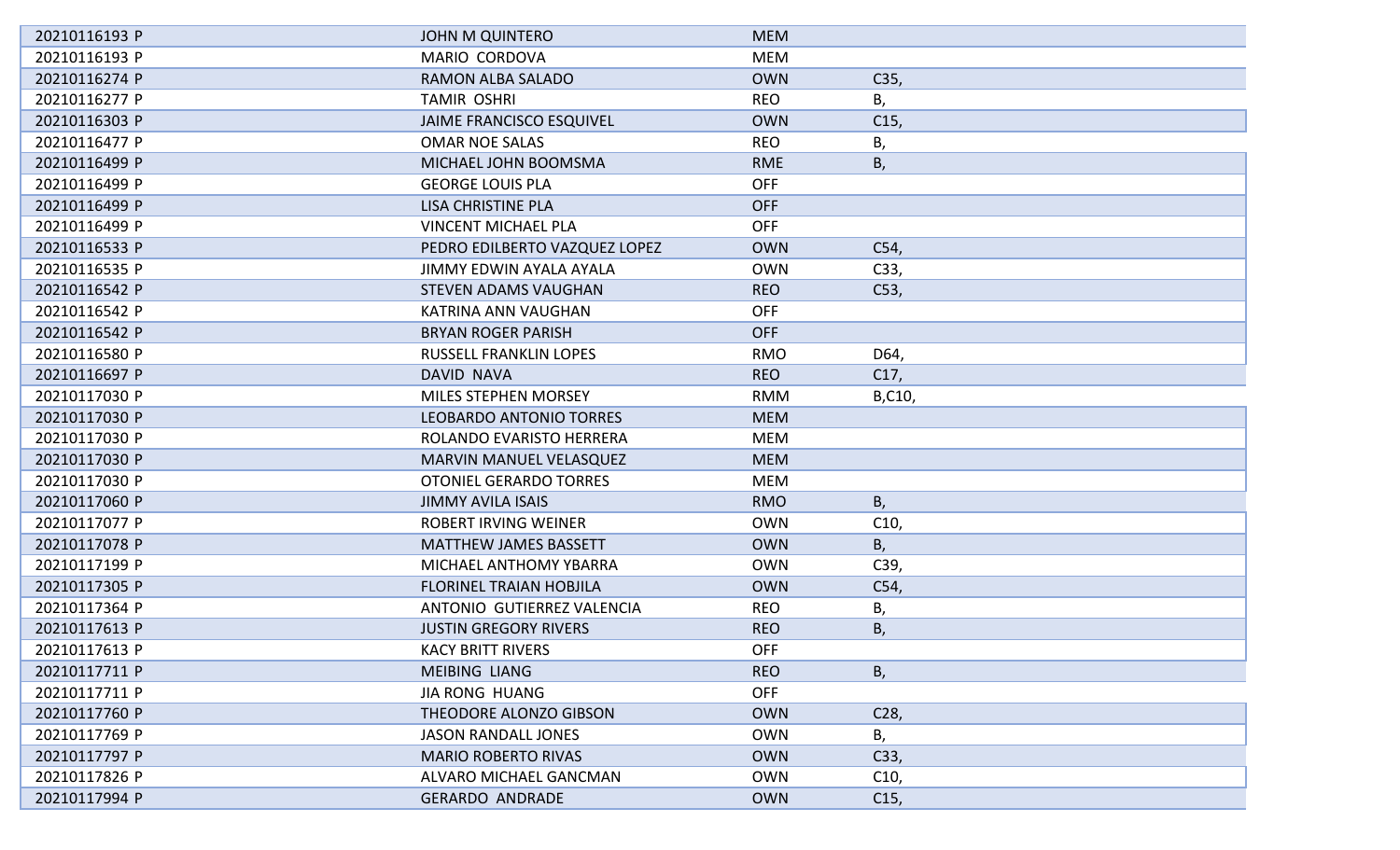| 20210116193 P | <b>JOHN M QUINTERO</b>         | <b>MEM</b> |                 |
|---------------|--------------------------------|------------|-----------------|
| 20210116193 P | MARIO CORDOVA                  | <b>MEM</b> |                 |
| 20210116274 P | <b>RAMON ALBA SALADO</b>       | <b>OWN</b> | C35,            |
| 20210116277 P | <b>TAMIR OSHRI</b>             | <b>REO</b> | В,              |
| 20210116303 P | JAIME FRANCISCO ESQUIVEL       | <b>OWN</b> | C15,            |
| 20210116477 P | <b>OMAR NOE SALAS</b>          | <b>REO</b> | В,              |
| 20210116499 P | MICHAEL JOHN BOOMSMA           | <b>RME</b> | В,              |
| 20210116499 P | <b>GEORGE LOUIS PLA</b>        | <b>OFF</b> |                 |
| 20210116499 P | LISA CHRISTINE PLA             | <b>OFF</b> |                 |
| 20210116499 P | <b>VINCENT MICHAEL PLA</b>     | <b>OFF</b> |                 |
| 20210116533 P | PEDRO EDILBERTO VAZQUEZ LOPEZ  | <b>OWN</b> | C54,            |
| 20210116535 P | JIMMY EDWIN AYALA AYALA        | <b>OWN</b> | C33,            |
| 20210116542 P | <b>STEVEN ADAMS VAUGHAN</b>    | <b>REO</b> | C53,            |
| 20210116542 P | KATRINA ANN VAUGHAN            | <b>OFF</b> |                 |
| 20210116542 P | <b>BRYAN ROGER PARISH</b>      | <b>OFF</b> |                 |
| 20210116580 P | <b>RUSSELL FRANKLIN LOPES</b>  | <b>RMO</b> | D64,            |
| 20210116697 P | DAVID NAVA                     | <b>REO</b> | C17,            |
| 20210117030 P | <b>MILES STEPHEN MORSEY</b>    | <b>RMM</b> | B,C10,          |
| 20210117030 P | LEOBARDO ANTONIO TORRES        | <b>MEM</b> |                 |
| 20210117030 P | ROLANDO EVARISTO HERRERA       | <b>MEM</b> |                 |
| 20210117030 P | MARVIN MANUEL VELASQUEZ        | <b>MEM</b> |                 |
| 20210117030 P | <b>OTONIEL GERARDO TORRES</b>  | <b>MEM</b> |                 |
| 20210117060 P | <b>JIMMY AVILA ISAIS</b>       | <b>RMO</b> | B,              |
| 20210117077 P | ROBERT IRVING WEINER           | <b>OWN</b> | C10,            |
| 20210117078 P | <b>MATTHEW JAMES BASSETT</b>   | <b>OWN</b> | B,              |
| 20210117199 P | MICHAEL ANTHOMY YBARRA         | <b>OWN</b> | C39,            |
| 20210117305 P | <b>FLORINEL TRAIAN HOBJILA</b> | <b>OWN</b> | C54,            |
| 20210117364 P | ANTONIO GUTIERREZ VALENCIA     | <b>REO</b> | Β,              |
| 20210117613 P | <b>JUSTIN GREGORY RIVERS</b>   | <b>REO</b> | Β,              |
| 20210117613 P | <b>KACY BRITT RIVERS</b>       | <b>OFF</b> |                 |
| 20210117711 P | <b>MEIBING LIANG</b>           | <b>REO</b> | B,              |
| 20210117711 P | <b>JIA RONG HUANG</b>          | <b>OFF</b> |                 |
| 20210117760 P | THEODORE ALONZO GIBSON         | <b>OWN</b> | C <sub>28</sub> |
| 20210117769 P | <b>JASON RANDALL JONES</b>     | <b>OWN</b> | В,              |
| 20210117797 P | <b>MARIO ROBERTO RIVAS</b>     | <b>OWN</b> | C33,            |
| 20210117826 P | ALVARO MICHAEL GANCMAN         | <b>OWN</b> | C10,            |
| 20210117994 P | <b>GERARDO ANDRADE</b>         | <b>OWN</b> | C <sub>15</sub> |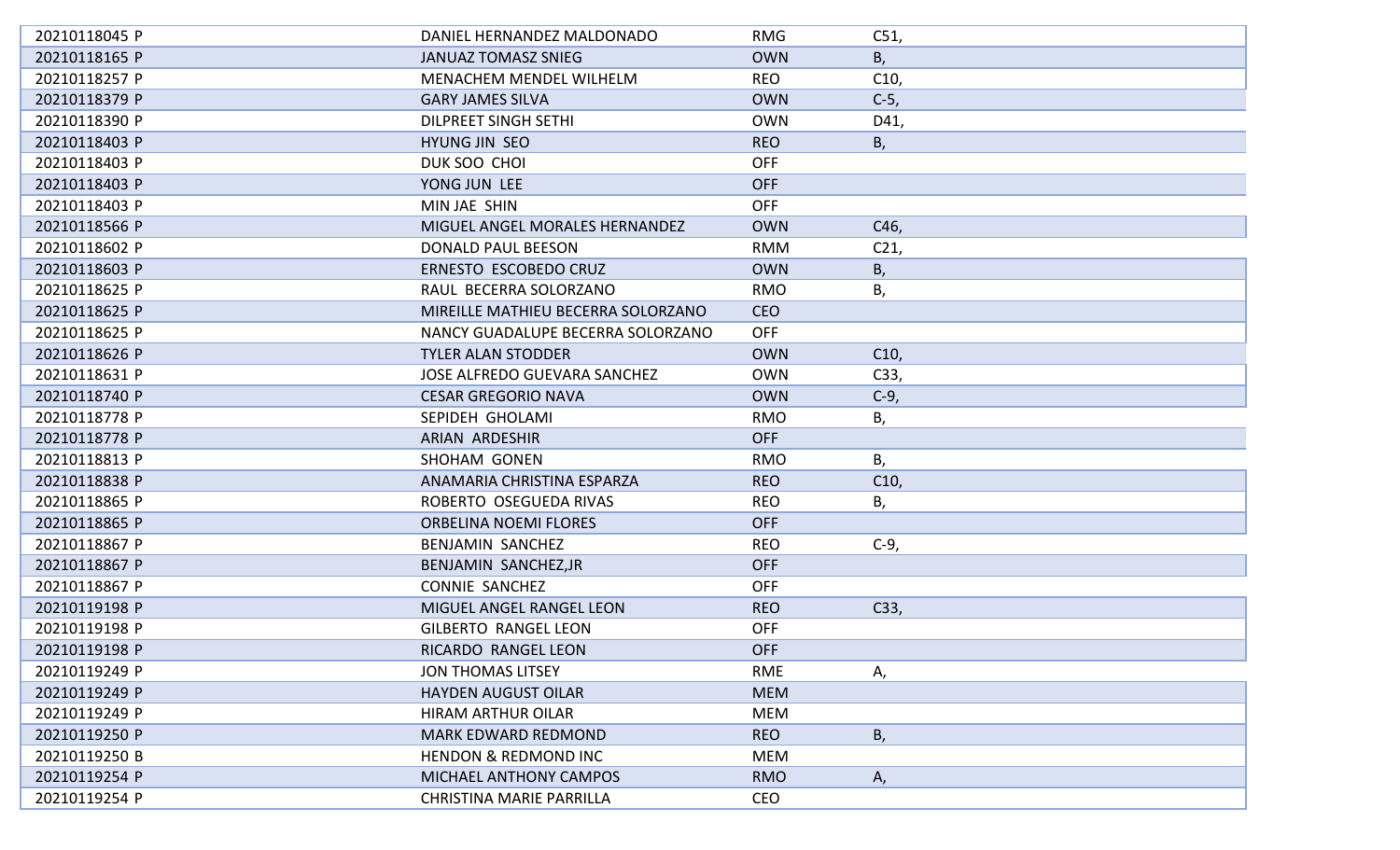| 20210118045 P | DANIEL HERNANDEZ MALDONADO          | <b>RMG</b> | C51,            |
|---------------|-------------------------------------|------------|-----------------|
| 20210118165 P | <b>JANUAZ TOMASZ SNIEG</b>          | <b>OWN</b> | B,              |
| 20210118257 P | MENACHEM MENDEL WILHELM             | <b>REO</b> | C10,            |
| 20210118379 P | <b>GARY JAMES SILVA</b>             | <b>OWN</b> | $C-5$ ,         |
| 20210118390 P | <b>DILPREET SINGH SETHI</b>         | <b>OWN</b> | D41,            |
| 20210118403 P | HYUNG JIN SEO                       | <b>REO</b> | В,              |
| 20210118403 P | DUK SOO CHOI                        | <b>OFF</b> |                 |
| 20210118403 P | YONG JUN LEE                        | <b>OFF</b> |                 |
| 20210118403 P | MIN JAE SHIN                        | <b>OFF</b> |                 |
| 20210118566 P | MIGUEL ANGEL MORALES HERNANDEZ      | <b>OWN</b> | C46,            |
| 20210118602 P | <b>DONALD PAUL BEESON</b>           | <b>RMM</b> | C <sub>21</sub> |
| 20210118603 P | ERNESTO ESCOBEDO CRUZ               | <b>OWN</b> | В,              |
| 20210118625 P | RAUL BECERRA SOLORZANO              | <b>RMO</b> | В,              |
| 20210118625 P | MIREILLE MATHIEU BECERRA SOLORZANO  | <b>CEO</b> |                 |
| 20210118625 P | NANCY GUADALUPE BECERRA SOLORZANO   | <b>OFF</b> |                 |
| 20210118626 P | <b>TYLER ALAN STODDER</b>           | <b>OWN</b> | C10,            |
| 20210118631 P | <b>JOSE ALFREDO GUEVARA SANCHEZ</b> | <b>OWN</b> | C33,            |
| 20210118740 P | <b>CESAR GREGORIO NAVA</b>          | <b>OWN</b> | $C-9$ ,         |
| 20210118778 P | SEPIDEH GHOLAMI                     | <b>RMO</b> | В,              |
| 20210118778 P | <b>ARIAN ARDESHIR</b>               | <b>OFF</b> |                 |
| 20210118813 P | <b>SHOHAM GONEN</b>                 | <b>RMO</b> | Β,              |
| 20210118838 P | ANAMARIA CHRISTINA ESPARZA          | <b>REO</b> | C10,            |
| 20210118865 P | ROBERTO OSEGUEDA RIVAS              | <b>REO</b> | В,              |
| 20210118865 P | <b>ORBELINA NOEMI FLORES</b>        | <b>OFF</b> |                 |
| 20210118867 P | BENJAMIN SANCHEZ                    | <b>REO</b> | $C-9,$          |
| 20210118867 P | BENJAMIN SANCHEZ, JR                | <b>OFF</b> |                 |
| 20210118867 P | <b>CONNIE SANCHEZ</b>               | <b>OFF</b> |                 |
| 20210119198 P | MIGUEL ANGEL RANGEL LEON            | <b>REO</b> | C33,            |
| 20210119198 P | <b>GILBERTO RANGEL LEON</b>         | <b>OFF</b> |                 |
| 20210119198 P | RICARDO RANGEL LEON                 | <b>OFF</b> |                 |
| 20210119249 P | <b>JON THOMAS LITSEY</b>            | <b>RME</b> | Α,              |
| 20210119249 P | <b>HAYDEN AUGUST OILAR</b>          | <b>MEM</b> |                 |
| 20210119249 P | <b>HIRAM ARTHUR OILAR</b>           | <b>MEM</b> |                 |
| 20210119250 P | <b>MARK EDWARD REDMOND</b>          | <b>REO</b> | B,              |
| 20210119250 B | <b>HENDON &amp; REDMOND INC</b>     | MEM        |                 |
| 20210119254 P | MICHAEL ANTHONY CAMPOS              | <b>RMO</b> | Α,              |
| 20210119254 P | <b>CHRISTINA MARIE PARRILLA</b>     | <b>CEO</b> |                 |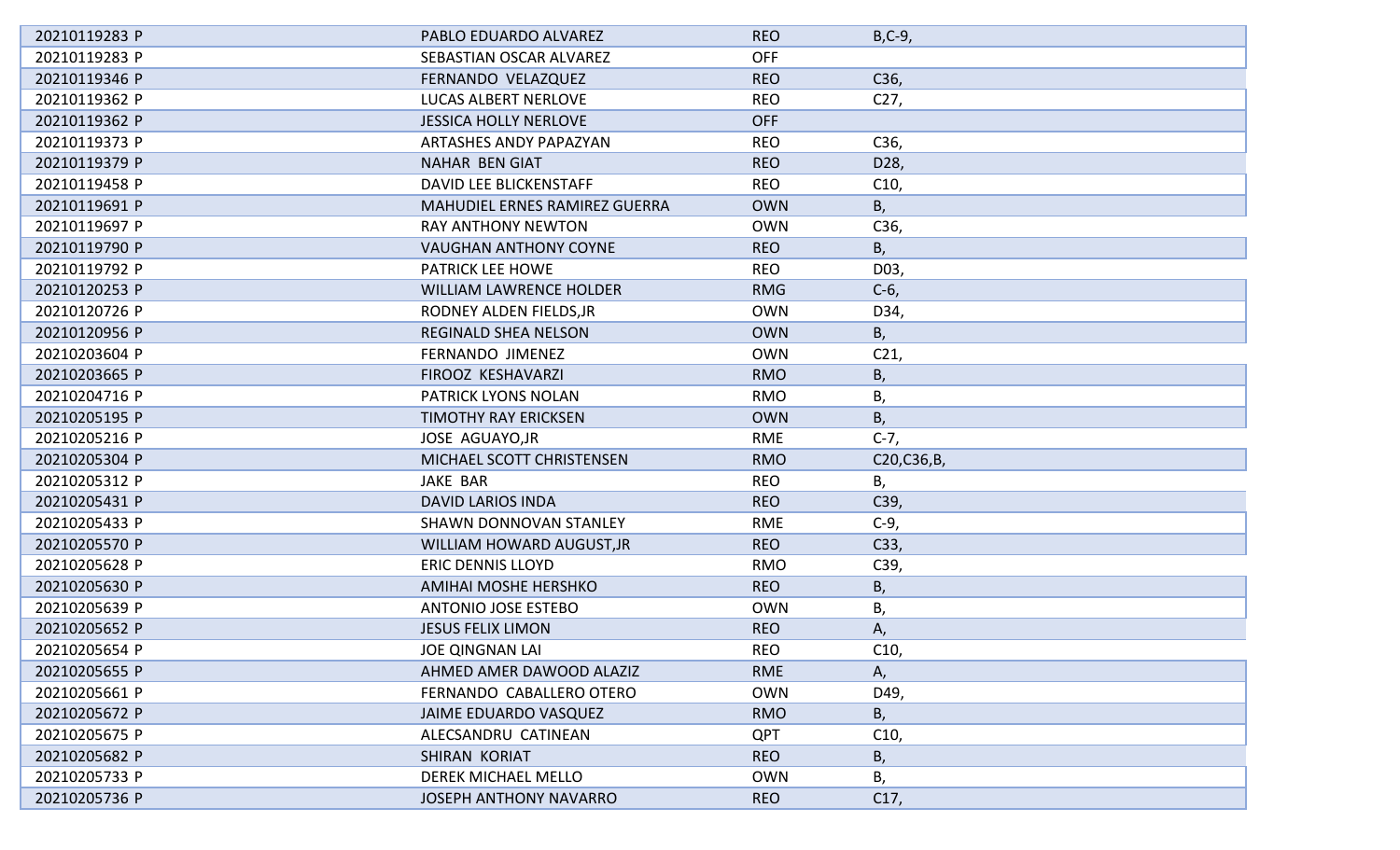| 20210119283 P | PABLO EDUARDO ALVAREZ          | <b>REO</b> | $B, C-9,$       |
|---------------|--------------------------------|------------|-----------------|
| 20210119283 P | SEBASTIAN OSCAR ALVAREZ        | <b>OFF</b> |                 |
| 20210119346 P | FERNANDO VELAZQUEZ             | <b>REO</b> | C36,            |
| 20210119362 P | LUCAS ALBERT NERLOVE           | <b>REO</b> | C27,            |
| 20210119362 P | <b>JESSICA HOLLY NERLOVE</b>   | <b>OFF</b> |                 |
| 20210119373 P | ARTASHES ANDY PAPAZYAN         | <b>REO</b> | C36,            |
| 20210119379 P | NAHAR BEN GIAT                 | <b>REO</b> | D28,            |
| 20210119458 P | DAVID LEE BLICKENSTAFF         | <b>REO</b> | C10,            |
| 20210119691 P | MAHUDIEL ERNES RAMIREZ GUERRA  | <b>OWN</b> | В,              |
| 20210119697 P | <b>RAY ANTHONY NEWTON</b>      | <b>OWN</b> | C36,            |
| 20210119790 P | <b>VAUGHAN ANTHONY COYNE</b>   | <b>REO</b> | В,              |
| 20210119792 P | <b>PATRICK LEE HOWE</b>        | <b>REO</b> | D03,            |
| 20210120253 P | <b>WILLIAM LAWRENCE HOLDER</b> | <b>RMG</b> | $C-6$           |
| 20210120726 P | RODNEY ALDEN FIELDS, JR        | <b>OWN</b> | D34,            |
| 20210120956 P | <b>REGINALD SHEA NELSON</b>    | <b>OWN</b> | В,              |
| 20210203604 P | FERNANDO JIMENEZ               | <b>OWN</b> | C <sub>21</sub> |
| 20210203665 P | FIROOZ KESHAVARZI              | <b>RMO</b> | В,              |
| 20210204716 P | PATRICK LYONS NOLAN            | <b>RMO</b> | В,              |
| 20210205195 P | <b>TIMOTHY RAY ERICKSEN</b>    | <b>OWN</b> | В,              |
| 20210205216 P | JOSE AGUAYO, JR                | RME        | $C-7,$          |
| 20210205304 P | MICHAEL SCOTT CHRISTENSEN      | <b>RMO</b> | C20, C36, B,    |
| 20210205312 P | <b>JAKE BAR</b>                | <b>REO</b> | В,              |
| 20210205431 P | <b>DAVID LARIOS INDA</b>       | <b>REO</b> | C39,            |
| 20210205433 P | <b>SHAWN DONNOVAN STANLEY</b>  | <b>RME</b> | $C-9$           |
| 20210205570 P | WILLIAM HOWARD AUGUST, JR      | <b>REO</b> | C33,            |
| 20210205628 P | <b>ERIC DENNIS LLOYD</b>       | <b>RMO</b> | C39,            |
| 20210205630 P | AMIHAI MOSHE HERSHKO           | <b>REO</b> | В,              |
| 20210205639 P | <b>ANTONIO JOSE ESTEBO</b>     | <b>OWN</b> | В,              |
| 20210205652 P | <b>JESUS FELIX LIMON</b>       | <b>REO</b> | А,              |
| 20210205654 P | <b>JOE QINGNAN LAI</b>         | <b>REO</b> | C10,            |
| 20210205655 P | AHMED AMER DAWOOD ALAZIZ       | <b>RME</b> | А,              |
| 20210205661 P | FERNANDO CABALLERO OTERO       | <b>OWN</b> | D49,            |
| 20210205672 P | <b>JAIME EDUARDO VASQUEZ</b>   | <b>RMO</b> | В,              |
| 20210205675 P | ALECSANDRU CATINEAN            | <b>QPT</b> | C10,            |
| 20210205682 P | <b>SHIRAN KORIAT</b>           | <b>REO</b> | В,              |
| 20210205733 P | DEREK MICHAEL MELLO            | <b>OWN</b> | В,              |
| 20210205736 P | <b>JOSEPH ANTHONY NAVARRO</b>  | <b>REO</b> | C17,            |